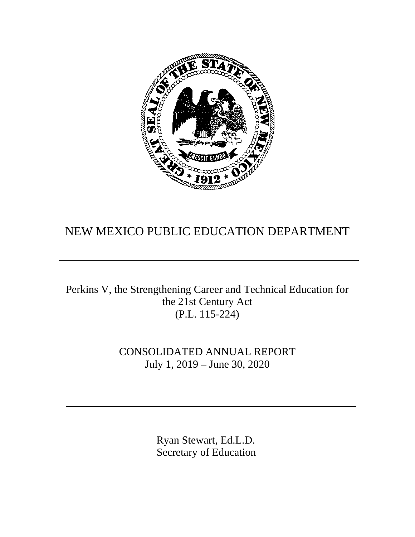

# NEW MEXICO PUBLIC EDUCATION DEPARTMENT

Perkins V, the Strengthening Career and Technical Education for the 21st Century Act (P.L. 115-224)

> CONSOLIDATED ANNUAL REPORT July 1, 2019 – June 30, 2020

> > Ryan Stewart, Ed.L.D. Secretary of Education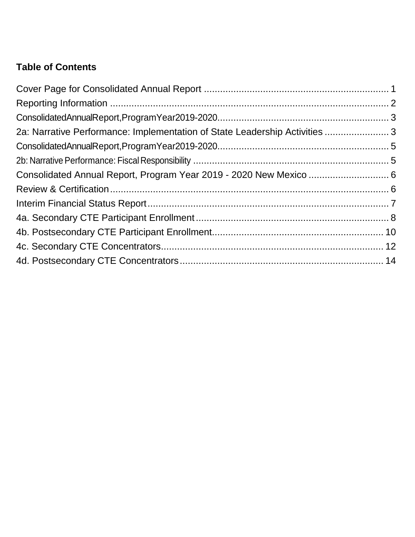## **Table of Contents**

| 2a: Narrative Performance: Implementation of State Leadership Activities  3 |  |
|-----------------------------------------------------------------------------|--|
|                                                                             |  |
|                                                                             |  |
| Consolidated Annual Report, Program Year 2019 - 2020 New Mexico  6          |  |
|                                                                             |  |
|                                                                             |  |
|                                                                             |  |
|                                                                             |  |
|                                                                             |  |
|                                                                             |  |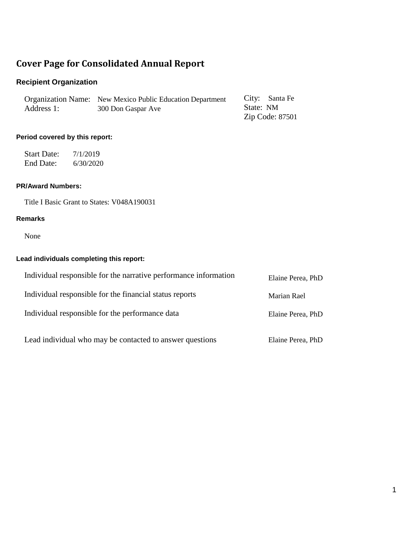## <span id="page-2-0"></span>**Cover Page for Consolidated Annual Report**

## **Recipient Organization**

|            | Organization Name: New Mexico Public Education Department | City: Santa Fe |                 |
|------------|-----------------------------------------------------------|----------------|-----------------|
| Address 1: | 300 Don Gaspar Ave                                        | State: NM      |                 |
|            |                                                           |                | Zip Code: 87501 |

### **Period covered by this report:**

Start Date: 7/1/2019 End Date: 6/30/2020

### **PR/Award Numbers:**

Title I Basic Grant to States: V048A190031

#### **Remarks**

None

### **Lead individuals completing this report:**

| Individual responsible for the narrative performance information | Elaine Perea, PhD |
|------------------------------------------------------------------|-------------------|
| Individual responsible for the financial status reports          | Marian Rael       |
| Individual responsible for the performance data                  | Elaine Perea, PhD |
| Lead individual who may be contacted to answer questions         | Elaine Perea, PhD |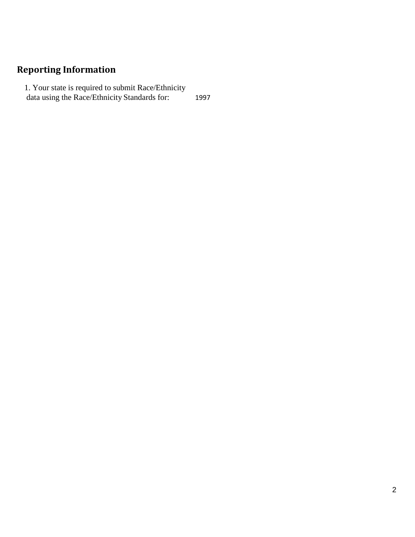## <span id="page-3-0"></span>**Reporting Information**

1. Your state is required to submit Race/Ethnicity data using the Race/Ethnicity Standards for: 1997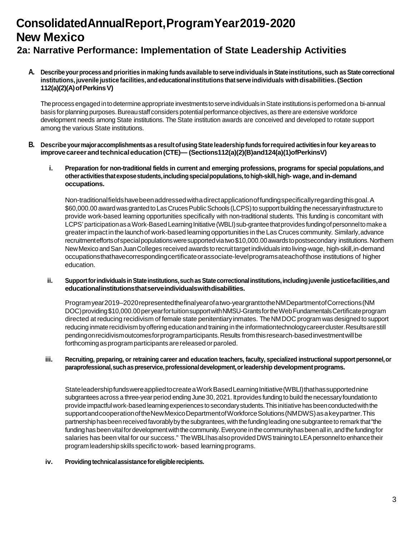# <span id="page-4-0"></span>**ConsolidatedAnnualReport,ProgramYear2019-2020 New Mexico**

## <span id="page-4-1"></span>**2a: Narrative Performance: Implementation of State Leadership Activities**

**A. Describeyourprocessandpriorities inmaking funds available toserveindividuals inStateinstitutions, such asStatecorrectional institutions, juvenile justice facilities,andeducationalinstitutions thatserveindividuals withdisabilities.(Section 112(a)(2)(A)ofPerkinsV)**

The process engaged in to determine appropriate investments to serve individuals in State institutions is performed on a bi-annual basis for planning purposes. Bureau staff considers potential performance objectives, as there are extensive workforce development needs among State institutions. The State institution awards are conceived and developed to rotate support among the various State institutions.

- **B. Describe yourmajoraccomplishmentsas a resultofusingState leadership funds forrequired activitiesinfour keyareasto improvecareerandtechnicaleducation(CTE)— (Sections112(a)(2)(B)and124(a)(1)ofPerkinsV)**
	- **i. Preparation for non-traditional fields in current and emerging professions, programs for special populations,and otheractivitiesthatexposestudents,includingspecialpopulations,tohigh-skill,high- wage,andin-demand occupations.**

Non-traditionalfieldshavebeenaddressedwithadirectapplicationoffundingspecificallyregardingthisgoal.A \$60,000.00 award was granted to Las Cruces Public Schools (LCPS) to support building the necessary infrastructure to provide work-based learning opportunities specifically with non-traditional students. This funding is concomitant with LCPS' participation as a Work-Based Learning Initiative (WBLI) sub-grantee that provides funding of personnel to make a greaterimpact in the launchof work-based learning opportunities in the Las Cruces community. Similarly,advance recruitmenteffortsofspecialpopulationsweresupportedviatwo\$10,000.00awardstopostsecondary institutions.Northern NewMexico andSanJuanColleges received awards to recruittargetindividuals intoliving-wage, high-skill,in-demand occupationsthathavecorrespondingcertificateorassociate-levelprogramsateachofthose institutions of higher education.

#### **ii. SupportforindividualsinStateinstitutions,suchasStatecorrectionalinstitutions,includingjuvenile justicefacilities,and educationalinstitutionsthatserveindividualswithdisabilities.**

Programyear2019–2020representedthefinalyearofatwo-yeargranttotheNMDepartmentofCorrections(NM DOC) providing \$10,000.00 per year for tuition support with NMSU-Grants for the Web Fundamentals Certificate program directed at reducing recidivism of female state penitentiaryinmates. TheNMDOC program was designed to support reducing inmate recidivism by offering education and training in the information technology career cluster. Results are still pendingonrecidivismoutcomesforprogramparticipants.Results fromthisresearch-basedinvestmentwillbe forthcomingasprogramparticipants arereleasedorparoled.

#### iii. Recruiting, preparing, or retraining career and education teachers, faculty, specialized instructional support personnel, or **paraprofessional,suchaspreservice,professionaldevelopment,orleadership developmentprograms.**

StateleadershipfundswereappliedtocreateaWorkBasedLearningInitiative(WBLI)thathassupportednine subgrantees across a three-year period ending June 30, 2021. It provides funding to build the necessary foundation to provide impactful work-based learning experiences to secondary students. This initiative has been conducted with the supportandcooperationoftheNewMexicoDepartmentofWorkforceSolutions(NMDWS)asakeypartner.This partnership has been received favorably by the subgrantees, with the funding leading one subgrantee to remark that "the funding has been vital for development with the community. Everyone in the community has been all in, and the funding for salaries has been vital for our success." The WBLI has also provided DWS training to LEA personnel to enhance their programleadershipskills specific towork- based learning programs.

#### iv. Providing technical assistance for eligible recipients.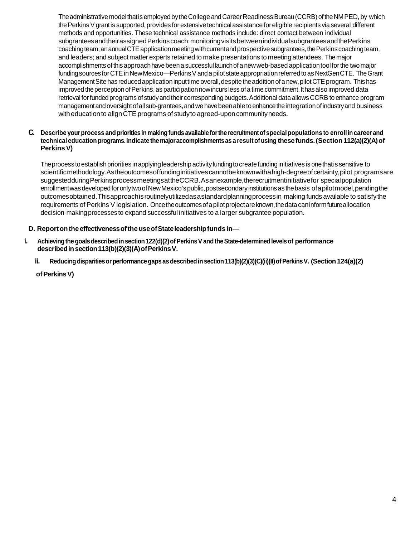The administrative model that is employed by the College and Career Readiness Bureau (CCRB) of the NMPED, by which the Perkins V grant is supported, provides for extensive technical assistance for eligible recipients via several different methods and opportunities. These technical assistance methods include: direct contact between individual subgranteesandtheirassignedPerkinscoach;monitoringvisitsbetweenindividualsubgranteesandthePerkins coachingteam;anannualCTEapplicationmeetingwithcurrentandprospectivesubgrantees,thePerkinscoachingteam, and leaders; and subjectmatter experts retained to make presentations to meeting attendees. Themajor accomplishments ofthis approachhavebeena successful launchofa newweb-based applicationtool forthe twomajor funding sources for CTE in New Mexico—Perkins V and a pilot state appropriation referred to as NextGenCTE. The Grant Management Site has reduced application input time overall, despite the addition of a new, pilot CTE program. This has improved the perception of Perkins, as participation now incurs less of a time commitment. It has also improved data retrievalforfundedprograms of studyand theircorrespondingbudgets.Additional data allowsCCRB to enhance program managementandoversightofallsub-grantees,andwehavebeenable toenhancetheintegrationofindustryand business with education to align CTE programs of study to agreed-upon community needs.

#### **C. Describe yourprocess andprioritiesinmakingfunds availableforthe recruitmentofspecialpopulations to enrollincareer and technicaleducation programs.Indicate themajoraccomplishmentsas a resultofusing thesefunds.(Section 112(a)(2)(A)of PerkinsV)**

Theprocess toestablishpriorities inapplyingleadershipactivityfundingtocreatefundinginitiativesis onethatis sensitive to scientificmethodology.Astheoutcomesoffundinginitiativescannotbeknownwithahigh-degreeofcertainty,pilot programsare suggestedduringPerkinsprocessmeetingsattheCCRB.Asanexample,therecruitmentinitiativefor specialpopulation enrollment was developed for onlytwo of New Mexico's public, postsecondary institutions as the basis of a pilot model, pending the outcomesobtained.Thisapproachisroutinelyutilizedasastandardplanningprocessin making funds available to satisfythe requirements of Perkins V legislation. Once the outcomes of a pilot project are known, the data can inform future allocation decision-makingprocesses to expand successful initiatives to a larger subgrantee population.

### **D. Reportonthe effectivenessoftheuseofStateleadershipfundsin—**

- **i.** Achieving the goals described in section 122(d)(2) of Perkins V and the State-determined levels of performance described in section 113(b)(2)(3)(A) of Perkins V.
	- ii. Reducing disparities or performance gaps as described in section 113(b)(2)(3)(C)(ii)(II) of Perkins V. (Section 124(a)(2)

**ofPerkinsV)**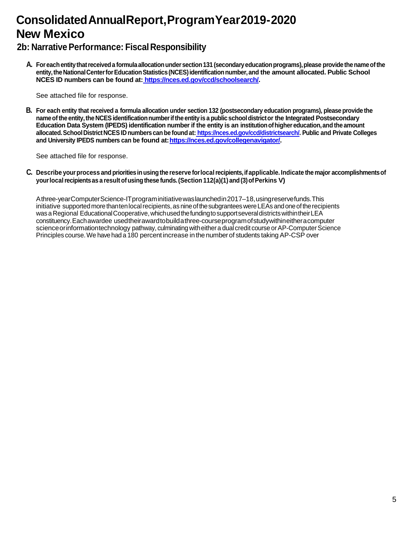# <span id="page-6-0"></span>**Consolidated AnnualReport,ProgramYear2019-2020 New Mexico**

## <span id="page-6-1"></span>**2b: Narrative Performance: Fiscal Responsibility**

**A. Foreachentitythatreceiveda formulaallocationundersection131 (secondaryeducationprograms),please providethenameofthe** entity, the National Center for Education Statistics (NCES) identification number, and the amount allocated. Public School **NCES ID numbers can be found at: <https://nces.ed.gov/ccd/schoolsearch/>.**

See attached file for response.

**B.** For each entity that received a formula allocation under section 132 (postsecondary education programs), please provide the **nameofthe entity,the NCESidentificationnumberifthe entity is a public schooldistrictor the Integrated Postsecondary Education Data System (IPEDS) identification number if the entity is an institutionofhighereducation,andthe amount allocated.SchoolDistrictNCESID numberscan be foundat: [https://nces.ed.gov/ccd/districtsearch/.](https://nces.ed.gov/ccd/districtsearch/) Public and Private Colleges and University IPEDS numbers can be found at[:https://nces.ed.gov/collegenavigator/](https://nces.ed.gov/collegenavigator/).**

See attached file for response.

**C. Describe yourprocess andprioritiesinusingthe reserve forlocalrecipients,ifapplicable. Indicate themajor accomplishmentsof yourlocalrecipientsas a resultofusingthese funds.(Section 112(a)(1) and(3)ofPerkins V)**

Athree-yearComputerScience-ITprograminitiativewaslaunchedin2017–18,usingreservefunds.This initiative supported more thanten local recipients, as nine of the subgrantees were LEAs and one of the recipients was a Regional Educational Cooperative, which used the funding to support several districts within their LEA constituency.Eachawardee usedtheirawardtobuildathree-courseprogramofstudywithineitheracomputer science or informationtechnology pathway, culminating with either a dual credit course or AP-Computer Science Principles course. We have had a 180 percent increase in the number of students taking AP-CSP over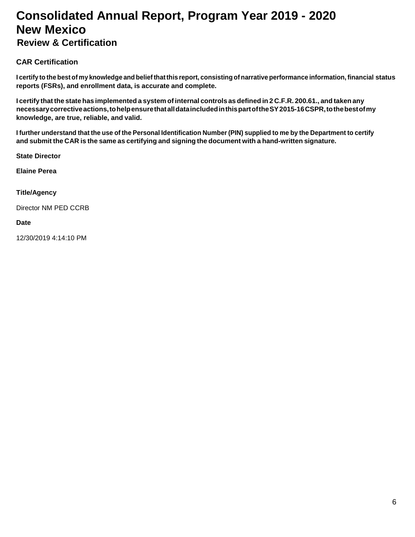# <span id="page-7-0"></span>**Consolidated Annual Report, Program Year 2019 - 2020 New Mexico**

## <span id="page-7-1"></span>**Review & Certification**

### **CAR Certification**

I certify to the best of my knowledge and belief that this report, consisting of narrative performance information, financial status **reports (FSRs), and enrollment data, is accurate and complete.**

I certify that the state has implemented a system of internal controls as defined in 2 C.F.R. 200.61., and taken any **necessarycorrectiveactions,tohelpensurethatalldataincludedinthispartoftheSY2015-16CSPR,tothebestofmy knowledge, are true, reliable, and valid.**

I further understand that the use of the Personal Identification Number (PIN) supplied to me by the Department to certify **and submit the CAR is the same as certifying and signing the document with a hand-written signature.**

**State Director** 

**Elaine Perea**

#### **Title/Agency**

Director NM PED CCRB

#### **Date**

12/30/2019 4:14:10 PM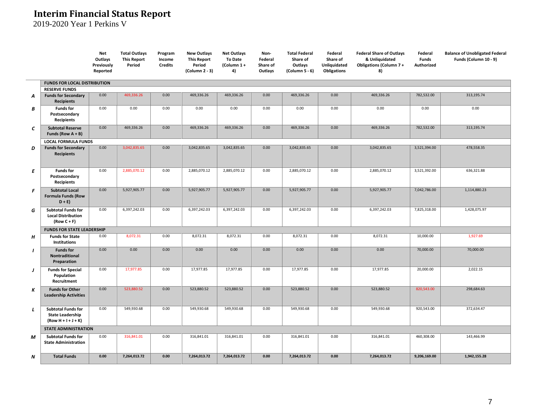## **Interim Financial Status Report**

2019-2020 Year 1 Perkins V

<span id="page-8-0"></span>

|   |                                                                               | Net<br>Outlays<br>Previously<br>Reported | <b>Total Outlays</b><br><b>This Report</b><br>Period | Program<br>Income<br><b>Credits</b> | <b>New Outlays</b><br><b>This Report</b><br>Period<br>(Column 2 - 3) | <b>Net Outlays</b><br><b>To Date</b><br>(Column 1+<br>4) | Non-<br>Federal<br>Share of<br>Outlays | <b>Total Federal</b><br>Share of<br>Outlays<br>(Column 5 - 6) | Federal<br>Share of<br>Unliquidated<br>Obligations | <b>Federal Share of Outlays</b><br>& Unliquidated<br>Obligations (Column 7+<br>8) | Federal<br><b>Funds</b><br><b>Authorized</b> | <b>Balance of Unobligated Federal</b><br>Funds (Column 10 - 9) |
|---|-------------------------------------------------------------------------------|------------------------------------------|------------------------------------------------------|-------------------------------------|----------------------------------------------------------------------|----------------------------------------------------------|----------------------------------------|---------------------------------------------------------------|----------------------------------------------------|-----------------------------------------------------------------------------------|----------------------------------------------|----------------------------------------------------------------|
|   | <b>FUNDS FOR LOCAL DISTRIBUTION</b>                                           |                                          |                                                      |                                     |                                                                      |                                                          |                                        |                                                               |                                                    |                                                                                   |                                              |                                                                |
| Α | <b>RESERVE FUNDS</b><br><b>Funds for Secondary</b>                            | 0.00                                     | 469,336.26                                           | 0.00                                | 469,336.26                                                           | 469,336.26                                               | 0.00                                   | 469,336.26                                                    | 0.00                                               | 469,336.26                                                                        | 782,532.00                                   | 313,195.74                                                     |
| В | <b>Recipients</b><br><b>Funds for</b>                                         | 0.00                                     | 0.00                                                 | 0.00                                | 0.00                                                                 | 0.00                                                     | 0.00                                   | 0.00                                                          | 0.00                                               | 0.00                                                                              | 0.00                                         | 0.00                                                           |
|   | Postsecondary<br>Recipients                                                   |                                          |                                                      |                                     |                                                                      |                                                          |                                        |                                                               |                                                    |                                                                                   |                                              |                                                                |
| C | <b>Subtotal Reserve</b><br>Funds (Row $A + B$ )                               | 0.00                                     | 469,336.26                                           | 0.00                                | 469,336.26                                                           | 469,336.26                                               | 0.00                                   | 469,336.26                                                    | 0.00                                               | 469,336.26                                                                        | 782,532.00                                   | 313,195.74                                                     |
|   | <b>LOCAL FORMULA FUNDS</b>                                                    |                                          |                                                      |                                     |                                                                      |                                                          |                                        |                                                               |                                                    |                                                                                   |                                              |                                                                |
| D | <b>Funds for Secondary</b><br><b>Recipients</b>                               | 0.00                                     | 3,042,835.65                                         | 0.00                                | 3,042,835.65                                                         | 3,042,835.65                                             | 0.00                                   | 3,042,835.65                                                  | 0.00                                               | 3,042,835.65                                                                      | 3,521,394.00                                 | 478,558.35                                                     |
| E | <b>Funds for</b><br>Postsecondary<br>Recipients                               | 0.00                                     | 2,885,070.12                                         | 0.00                                | 2,885,070.12                                                         | 2,885,070.12                                             | 0.00                                   | 2,885,070.12                                                  | 0.00<br>2,885,070.12                               |                                                                                   | 3,521,392.00                                 | 636,321.88                                                     |
| F | <b>Subtotal Local</b><br><b>Formula Funds (Row</b><br>$D + E$                 | 0.00                                     | 5,927,905.77                                         | 0.00                                | 5,927,905.77                                                         | 5,927,905.77                                             | 0.00                                   | 5,927,905.77                                                  | 0.00                                               | 5,927,905.77                                                                      | 7,042,786.00                                 | 1,114,880.23                                                   |
| G | <b>Subtotal Funds for</b><br><b>Local Distribution</b><br>$(Row C + F)$       | 0.00                                     | 6,397,242.03                                         | 0.00                                | 6,397,242.03                                                         | 6,397,242.03                                             | 0.00                                   | 6,397,242.03                                                  | 0.00                                               | 6,397,242.03                                                                      | 7,825,318.00                                 | 1,428,075.97                                                   |
|   | <b>FUNDS FOR STATE LEADERSHIP</b>                                             |                                          |                                                      |                                     |                                                                      |                                                          |                                        |                                                               |                                                    |                                                                                   |                                              |                                                                |
| н | <b>Funds for State</b><br>Institutions                                        | 0.00                                     | 8,072.31                                             | 0.00                                | 8,072.31                                                             | 8,072.31                                                 | 0.00                                   | 8,072.31                                                      | 0.00                                               | 8,072.31                                                                          | 10,000.00                                    | 1,927.69                                                       |
|   | <b>Funds for</b><br>Nontraditional<br>Preparation                             | 0.00                                     | 0.00                                                 | 0.00                                | 0.00                                                                 | 0.00                                                     | 0.00                                   | 0.00                                                          | 0.00                                               | 0.00                                                                              | 70,000.00                                    | 70,000.00                                                      |
| J | <b>Funds for Special</b><br>Population<br>Recruitment                         | 0.00                                     | 17,977.85                                            | 0.00                                | 17,977.85                                                            | 17,977.85                                                | 0.00                                   | 17,977.85                                                     | 0.00                                               | 17,977.85                                                                         | 20,000.00                                    | 2,022.15                                                       |
| К | <b>Funds for Other</b><br><b>Leadership Activities</b>                        | 0.00                                     | 523,880.52                                           | 0.00                                | 523,880.52                                                           | 523,880.52                                               | 0.00                                   | 523,880.52                                                    | 0.00                                               | 523,880.52                                                                        | 820,543.00                                   | 298,684.63                                                     |
| L | <b>Subtotal Funds for</b><br><b>State Leadership</b><br>$(Row H + I + J + K)$ | 0.00                                     | 549,930.68                                           | 0.00                                | 549,930.68                                                           | 549,930.68                                               | 0.00                                   | 549,930.68                                                    | 0.00                                               | 549,930.68                                                                        | 920,543.00                                   | 372,634.47                                                     |
|   | <b>STATE ADMINISTRATION</b>                                                   |                                          |                                                      |                                     |                                                                      |                                                          |                                        |                                                               |                                                    |                                                                                   |                                              |                                                                |
| М | <b>Subtotal Funds for</b><br><b>State Administration</b>                      | 0.00                                     | 316,841.01                                           | 0.00                                | 316,841.01                                                           | 316,841.01                                               | 0.00                                   | 316,841.01                                                    | 0.00                                               | 316,841.01                                                                        | 460,308.00                                   | 143,466.99                                                     |
| N | <b>Total Funds</b>                                                            | 0.00                                     | 7,264,013.72                                         | 0.00                                | 7,264,013.72                                                         | 7,264,013.72                                             | 0.00                                   | 7,264,013.72                                                  | 0.00                                               | 7,264,013.72                                                                      | 9,206,169.00                                 | 1,942,155.28                                                   |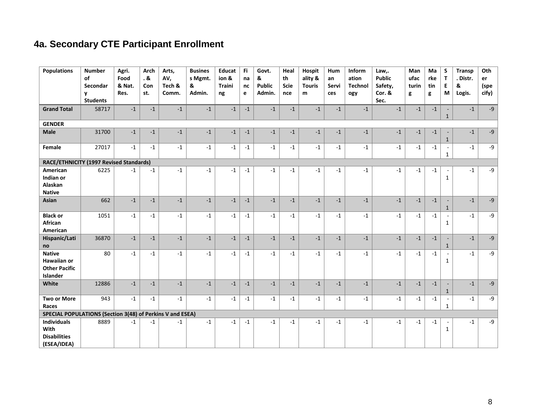# 4a. Secondary CTE Participant Enrollment

<span id="page-9-0"></span>

| <b>Populations</b>                                                      | <b>Number</b><br>οf<br>Secondar<br>V<br><b>Students</b> | Agri.<br>Food<br>& Nat.<br>Res. | Arch<br>.&<br>Con<br>st. | Arts,<br>AV,<br>Tech &<br>Comm. | <b>Busines</b><br>s Mgmt.<br>&<br>Admin. | <b>Educat</b><br>ion &<br><b>Traini</b><br>ng | Fi<br>na<br>nc<br>e | Govt.<br>&<br><b>Public</b><br>Admin. | Heal<br>th<br><b>Scie</b><br>nce | Hospit<br>ality &<br><b>Touris</b><br>m | Hum<br>an<br>Servi<br>ces | Inform<br>ation<br><b>Technol</b><br>ogy | Law,.<br><b>Public</b><br>Safety,<br>Cor. &<br>Sec. | Man<br>ufac<br>turin<br>g | Ma<br>rke<br>tin<br>g | S<br>T<br>E<br>M                         | <b>Transp</b><br>. Distr.<br>&<br>Logis. | Oth<br>er<br>(spe<br>cify) |
|-------------------------------------------------------------------------|---------------------------------------------------------|---------------------------------|--------------------------|---------------------------------|------------------------------------------|-----------------------------------------------|---------------------|---------------------------------------|----------------------------------|-----------------------------------------|---------------------------|------------------------------------------|-----------------------------------------------------|---------------------------|-----------------------|------------------------------------------|------------------------------------------|----------------------------|
| <b>Grand Total</b>                                                      | 58717                                                   | $-1$                            | $-1$                     | $-1$                            | $-1$                                     | $-1$                                          | $-1$                | $-1$                                  | $-1$                             | $-1$                                    | $-1$                      | $-1$                                     | $-1$                                                | $-1$                      | $-1$                  | $\mathbf{1}$                             | $-1$                                     | $-9$                       |
| <b>GENDER</b>                                                           |                                                         |                                 |                          |                                 |                                          |                                               |                     |                                       |                                  |                                         |                           |                                          |                                                     |                           |                       |                                          |                                          |                            |
| <b>Male</b>                                                             | 31700                                                   | $^{\mbox{{\small -1}}}$         | $-1$                     | $-1$                            | $-1$                                     | $-1$                                          | $-1$                | $\text{-}1$                           | $-1$                             | $-1$                                    | $-1$                      | $-1$                                     | $-1$                                                | $-1$                      | $-1$                  | $\mathbf{1}$                             | $-1$                                     | $-9$                       |
| Female                                                                  | 27017                                                   | $-1$                            | $-1$                     | $-1$                            | $-1$                                     | $-1$                                          | $-1$                | $-1$                                  | $-1$                             | $-1$                                    | $-1$                      | $-1$                                     | $-1$                                                | $-1$                      | $^{\mbox{-}1}$        | $\sim$<br>$\mathbf{1}$                   | $-1$                                     | $-9$                       |
| RACE/ETHNICITY (1997 Revised Standards)                                 |                                                         |                                 |                          |                                 |                                          |                                               |                     |                                       |                                  |                                         |                           |                                          |                                                     |                           |                       |                                          |                                          |                            |
| American<br>Indian or<br>Alaskan<br><b>Native</b>                       | 6225                                                    | $-1$                            | $-1$                     | $-1$                            | $-1$                                     | $-1$                                          | $-1$                | $-1$                                  | $-1$                             | $-1$                                    | $-1$                      | $-1$                                     | $-1$                                                | $-1$                      | $-1$                  | $\mathbf{1}$                             | $-1$                                     | $-9$                       |
| Asian                                                                   | 662                                                     | $-1$                            | $-1$                     | $-1$                            | $-1$                                     | $-1$                                          | $-1$                | $-1$                                  | $-1$                             | $-1$                                    | $-1$                      | $\textbf{-1}$                            | $-1$                                                | $-1$                      | $\textnormal{-}1$     | $\mathbf{1}$                             | $-1$                                     | $-9$                       |
| <b>Black or</b><br>African<br>American                                  | 1051                                                    | $-1$                            | $-1$                     | $-1$                            | $-1$                                     | $-1$                                          | $-1$                | $-1$                                  | $-1$                             | $-1$                                    | $-1$                      | $-1$                                     | $-1$                                                | $-1$                      | $-1$                  | $\sim$<br>$\mathbf{1}$                   | $-1$                                     | $-9$                       |
| Hispanic/Lati<br>no                                                     | 36870                                                   | $-1$                            | $-1$                     | $-1$                            | $-1$                                     | $-1$                                          | $-1$                | $-1$                                  | $-1$                             | $-1$                                    | $-1$                      | $-1$                                     | $-1$                                                | $-1$                      | $-1$                  | $\sim$<br>$\mathbf{1}$                   | $-1$                                     | $-9$                       |
| <b>Native</b><br><b>Hawaiian or</b><br><b>Other Pacific</b><br>Islander | 80                                                      | $-1$                            | $-1$                     | $-1$                            | $-1$                                     | $-1$                                          | $-1$                | $-1$                                  | $-1$                             | $-1$                                    | $-1$                      | $-1$                                     | $-1$                                                | $-1$                      | $-1$                  | $\mathbf{1}$                             | $-1$                                     | -9                         |
| White                                                                   | 12886                                                   | $-1$                            | $-1$                     | $-1$                            | $-1$                                     | $-1$                                          | $-1$                | $-1$                                  | $-1$                             | $-1$                                    | $-1$                      | $\textnormal{-}1$                        | $-1$                                                | $-1$                      | $\textnormal{-}1$     | $\mathbf{1}$                             | $-1$                                     | $-9$                       |
| <b>Two or More</b><br>Races                                             | 943                                                     | $\text{-}1$                     | $-1$                     | $-1$                            | $-1$                                     | $-1$                                          | $-1$                | $-1$                                  | $-1$                             | $-1$                                    | $-1$                      | $-1$                                     | $-1$                                                | $-1$                      | $^{\mbox{-}1}$        | $\overline{\phantom{a}}$<br>$\mathbf{1}$ | $-1$                                     | $-9$                       |
| SPECIAL POPULATIONS (Section 3(48) of Perkins V and ESEA)               |                                                         |                                 |                          |                                 |                                          |                                               |                     |                                       |                                  |                                         |                           |                                          |                                                     |                           |                       |                                          |                                          |                            |
| <b>Individuals</b><br>With<br><b>Disabilities</b><br>(ESEA/IDEA)        | 8889                                                    | $-1$                            | $-1$                     | $-1$                            | $-1$                                     | $-1$                                          | $-1$                | $-1$                                  | $-1$                             | $-1$                                    | $-1$                      | $-1$                                     | $-1$                                                | $-1$                      | $-1$                  | $\overline{\phantom{a}}$<br>$\mathbf{1}$ | $-1$                                     | $-9$                       |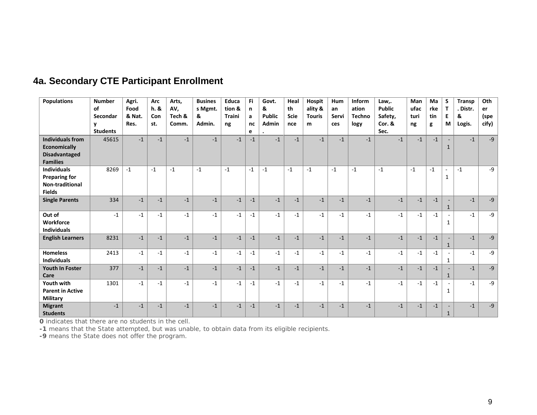| <b>Populations</b>                                                                        | <b>Number</b><br>of<br>Secondar<br>v<br><b>Students</b> | Agri.<br>Food<br>& Nat.<br>Res. | Arc<br>h.8<br>Con<br>st. | Arts,<br>AV,<br>Tech &<br>Comm. | <b>Busines</b><br>s Mgmt.<br>&<br>Admin. | Educa<br>tion &<br><b>Traini</b><br>ng | Fi<br>n<br>a<br>nc<br>e | Govt.<br>&<br><b>Public</b><br>Admin | Heal<br>th<br><b>Scie</b><br>nce | <b>Hospit</b><br>ality &<br><b>Touris</b><br>m | Hum<br>an<br>Servi<br>ces | Inform<br>ation<br><b>Techno</b><br>logy | Law,.<br><b>Public</b><br>Safety,<br>Cor. &<br>Sec. | Man<br>ufac<br>turi<br>ng | Ma<br>rke<br>tin<br>g | S<br>$\mathbf{T}$<br>E<br>M   | Transp<br>. Distr.<br>&<br>Logis. | Oth<br>er<br>(spe<br>cify) |
|-------------------------------------------------------------------------------------------|---------------------------------------------------------|---------------------------------|--------------------------|---------------------------------|------------------------------------------|----------------------------------------|-------------------------|--------------------------------------|----------------------------------|------------------------------------------------|---------------------------|------------------------------------------|-----------------------------------------------------|---------------------------|-----------------------|-------------------------------|-----------------------------------|----------------------------|
| <b>Individuals from</b><br><b>Economically</b><br><b>Disadvantaged</b><br><b>Families</b> | 45615                                                   | $-1$                            | $-1$                     | $-1$                            | $-1$                                     | $-1$                                   | $-1$                    | $-1$                                 | $-1$                             | $-1$                                           | $-1$                      | $-1$                                     | $-1$                                                | $-1$                      | $-1$                  | $\mathbf{1}$                  | $-1$                              | $-9$                       |
| <b>Individuals</b><br><b>Preparing for</b><br>Non-traditional<br><b>Fields</b>            | 8269                                                    | $-1$                            | $-1$                     | $-1$                            | $-1$                                     | $-1$                                   | $-1$                    | $-1$                                 | $-1$                             | $-1$                                           | $-1$                      | $-1$                                     | $-1$                                                | $-1$                      | $-1$                  | $\overline{\phantom{a}}$<br>1 | $-1$                              | $-9$                       |
| <b>Single Parents</b>                                                                     | 334                                                     | $-1$                            | $-1$                     | $-1$                            | $-1$                                     | $-1$                                   | $-1$                    | $-1$                                 | $-1$                             | $-1$                                           | $-1$                      | $-1$                                     | $-1$                                                | $-1$                      | $-1$                  | 1                             | $-1$                              | $-9$                       |
| Out of<br>Workforce<br><b>Individuals</b>                                                 | $-1$                                                    | $-1$                            | $-1$                     | $-1$                            | $-1$                                     | $-1$                                   | $-1$                    | $-1$                                 | $-1$                             | $-1$                                           | $-1$                      | $-1$                                     | $-1$                                                | $-1$                      | $-1$                  | 1                             | $-1$                              | $-9$                       |
| <b>English Learners</b>                                                                   | 8231                                                    | $-1$                            | $-1$                     | $-1$                            | $-1$                                     | $-1$                                   | $-1$                    | $-1$                                 | $-1$                             | $-1$                                           | $-1$                      | $-1$                                     | $-1$                                                | $-1$                      | $-1$                  | $\mathbf{1}$                  | $-1$                              | $-9$                       |
| <b>Homeless</b><br><b>Individuals</b>                                                     | 2413                                                    | $-1$                            | $-1$                     | $-1$                            | $-1$                                     | $-1$                                   | $-1$                    | $-1$                                 | $-1$                             | $-1$                                           | $-1$                      | $-1$                                     | $-1$                                                | $-1$                      | $-1$                  | 1                             | $-1$                              | $-9$                       |
| <b>Youth In Foster</b><br>Care                                                            | 377                                                     | $-1$                            | $-1$                     | $-1$                            | $-1$                                     | $-1$                                   | $-1$                    | $-1$                                 | $-1$                             | $-1$                                           | $-1$                      | $-1$                                     | $-1$                                                | $-1$                      | $-1$                  | $\mathbf{1}$                  | $-1$                              | $-9$                       |
| Youth with<br><b>Parent in Active</b><br>Military                                         | 1301                                                    | $-1$                            | $-1$                     | $-1$                            | $-1$                                     | $-1$                                   | $-1$                    | $-1$                                 | $-1$                             | $-1$                                           | $-1$                      | $-1$                                     | $-1$                                                | $-1$                      | $-1$                  | 1                             | $-1$                              | $-9$                       |
| <b>Migrant</b><br><b>Students</b>                                                         | $-1$                                                    | $-1$                            | $-1$                     | $-1$                            | $-1$                                     | $-1$                                   | $-1$                    | $-1$                                 | $-1$                             | $-1$                                           | $-1$                      | $-1$                                     | $-1$                                                | $-1$                      | $-1$                  | $\mathbf{1}$                  | $-1$                              | $-9$                       |

## 4a. Secondary CTE Participant Enrollment

**O** indicates that there are no students in the cell.

-1 means that the State attempted, but was unable, to obtain data from its eligible recipients.

-9 means the State does not offer the program.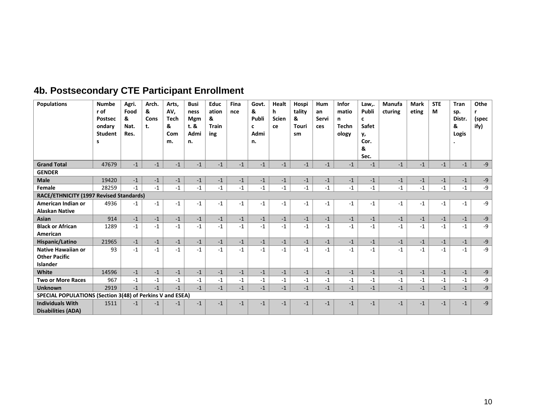<span id="page-11-0"></span>

| <b>Populations</b>                                                   | <b>Numbe</b><br>r of<br><b>Postsec</b><br>ondary<br><b>Student</b><br>s | Agri.<br>Food<br>&<br>Nat.<br>Res. | Arch.<br>&<br>Cons<br>t. | Arts,<br>AV,<br><b>Tech</b><br>&<br>Com<br>m. | <b>Busi</b><br>ness<br><b>Mgm</b><br>t. &<br>Admi<br>n. | Educ<br>ation<br>&<br><b>Train</b><br>ing | Fina<br>nce | Govt.<br>&<br>Publi<br>c<br>Admi<br>n. | Healt<br>h<br><b>Scien</b><br>ce | Hospi<br>tality<br>&<br>Touri<br>sm | Hum<br>an<br>Servi<br>ces | <b>Infor</b><br>matio<br>n<br><b>Techn</b><br>ology | Law,.<br>Publi<br>c<br><b>Safet</b><br>у,<br>Cor.<br>&<br>Sec. | Manufa<br>cturing | <b>Mark</b><br>eting | <b>STE</b><br>M | <b>Tran</b><br>sp.<br>Distr.<br>&<br>Logis | Othe<br>r<br>(spec<br>ify) |
|----------------------------------------------------------------------|-------------------------------------------------------------------------|------------------------------------|--------------------------|-----------------------------------------------|---------------------------------------------------------|-------------------------------------------|-------------|----------------------------------------|----------------------------------|-------------------------------------|---------------------------|-----------------------------------------------------|----------------------------------------------------------------|-------------------|----------------------|-----------------|--------------------------------------------|----------------------------|
| <b>Grand Total</b>                                                   | 47679                                                                   | $-1$                               | $-1$                     | $-1$                                          | $-1$                                                    | $-1$                                      | $-1$        | $-1$                                   | $-1$                             | $-1$                                | $-1$                      | $-1$                                                | $-1$                                                           | $-1$              | $-1$                 | $-1$            | $-1$                                       | $-9$                       |
| <b>GENDER</b>                                                        |                                                                         |                                    |                          |                                               |                                                         |                                           |             |                                        |                                  |                                     |                           |                                                     |                                                                |                   |                      |                 |                                            |                            |
| <b>Male</b>                                                          | 19420                                                                   | $-1$                               | $-1$                     | $-1$                                          | $-1$                                                    | $-1$                                      | $-1$        | $-1$                                   | $-1$                             | $-1$                                | $-1$                      | $-1$                                                | $-1$                                                           | $-1$              | $-1$                 | $-1$            | $-1$                                       | $-9$                       |
| Female                                                               | 28259                                                                   | $-1$                               | $-1$                     | $-1$                                          | $-1$                                                    | $-1$                                      | $-1$        | $-1$                                   | $-1$                             | $-1$                                | $-1$                      | $-1$                                                | $-1$                                                           | $-1$              | $-1$                 | $-1$            | $-1$                                       | $-9$                       |
| RACE/ETHNICITY (1997 Revised Standards)                              |                                                                         |                                    |                          |                                               |                                                         |                                           |             |                                        |                                  |                                     |                           |                                                     |                                                                |                   |                      |                 |                                            |                            |
| American Indian or<br><b>Alaskan Native</b>                          | 4936                                                                    | $-1$                               | $-1$                     | $-1$                                          | $-1$                                                    | $-1$                                      | $-1$        | $-1$                                   | $-1$                             | $-1$                                | $-1$                      | $-1$                                                | $-1$                                                           | $-1$              | $-1$                 | $-1$            | $-1$                                       | $-9$                       |
| Asian                                                                | 914                                                                     | $\textbf{-1}$                      | $-1$                     | $-1$                                          | $-1$                                                    | $-1$                                      | $-1$        | $-1$                                   | $-1$                             | $-1$                                | $-1$                      | $-1$                                                | $-1$                                                           | $-1$              | $-1$                 | $-1$            | $-1$                                       | $-9$                       |
| <b>Black or African</b><br>American                                  | 1289                                                                    | $-1$                               | $-1$                     | $-1$                                          | $-1$                                                    | $-1$                                      | $-1$        | $-1$                                   | $-1$                             | $-1$                                | $-1$                      | $-1$                                                | $-1$                                                           | $-1$              | $-1$                 | $-1$            | $-1$                                       | -9                         |
| Hispanic/Latino                                                      | 21965                                                                   | $-1$                               | $-1$                     | $-1$                                          | $-1$                                                    | $-1$                                      | $-1$        | $-1$                                   | $-1$                             | $-1$                                | $-1$                      | $-1$                                                | $-1$                                                           | $-1$              | $-1$                 | $-1$            | $-1$                                       | $-9$                       |
| <b>Native Hawaiian or</b><br><b>Other Pacific</b><br><b>Islander</b> | 93                                                                      | $-1$                               | $-1$                     | $-1$                                          | $-1$                                                    | $-1$                                      | $-1$        | $-1$                                   | $-1$                             | $-1$                                | $-1$                      | $-1$                                                | $-1$                                                           | $-1$              | $-1$                 | $-1$            | $-1$                                       | $-9$                       |
| White                                                                | 14596                                                                   | $-1$                               | $-1$                     | $-1$                                          | $-1$                                                    | $-1$                                      | $-1$        | $-1$                                   | $-1$                             | $-1$                                | $-1$                      | $-1$                                                | $-1$                                                           | $-1$              | $-1$                 | $-1$            | $-1$                                       | $-9$                       |
| <b>Two or More Races</b>                                             | 967                                                                     | $-1$                               | $-1$                     | $-1$                                          | $-1$                                                    | $-1$                                      | $-1$        | $-1$                                   | $-1$                             | $-1$                                | $-1$                      | $-1$                                                | $-1$                                                           | $-1$              | $-1$                 | $-1$            | $-1$                                       | $-9$                       |
| <b>Unknown</b>                                                       | 2919                                                                    | $-1$                               | $-1$                     | $-1$                                          | $-1$                                                    | $-1$                                      | $-1$        | $-1$                                   | $-1$                             | $-1$                                | $-1$                      | $-1$                                                | $-1$                                                           | $-1$              | $-1$                 | $-1$            | $-1$                                       | $-9$                       |
| SPECIAL POPULATIONS (Section 3(48) of Perkins V and ESEA)            |                                                                         |                                    |                          |                                               |                                                         |                                           |             |                                        |                                  |                                     |                           |                                                     |                                                                |                   |                      |                 |                                            |                            |
| <b>Individuals With</b><br>Disabilities (ADA)                        | 1511                                                                    | $-1$                               | $-1$                     | $-1$                                          | $-1$                                                    | $-1$                                      | $-1$        | $-1$                                   | $-1$                             | $-1$                                | $-1$                      | $-1$                                                | $-1$                                                           | $-1$              | $-1$                 | $-1$            | $-1$                                       | $-9$                       |

# 4b. Postsecondary CTE Participant Enrollment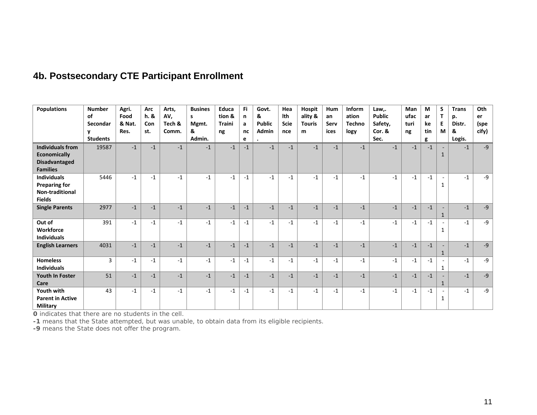|  | <b>4b. Postsecondary CTE Participant Enrollment</b> |  |  |  |
|--|-----------------------------------------------------|--|--|--|
|--|-----------------------------------------------------|--|--|--|

| <b>Populations</b>                                                                        | <b>Number</b><br>of<br>Secondar<br><b>Students</b> | Agri.<br>Food<br>& Nat.<br>Res. | Arc<br>h. &<br>Con<br>st. | Arts,<br>AV,<br>Tech &<br>Comm. | <b>Busines</b><br>s<br>Mgmt.<br>&<br>Admin. | Educa<br>tion &<br><b>Traini</b><br>ng | Fi<br>n<br>a<br>nc<br>e | Govt.<br>&<br><b>Public</b><br>Admin | Hea<br>Ith<br><b>Scie</b><br>nce | <b>Hospit</b><br>ality &<br><b>Touris</b><br>m | Hum<br>an<br>Serv<br>ices | Inform<br>ation<br><b>Techno</b><br>logy | Law,.<br><b>Public</b><br>Safety,<br>Cor. &<br>Sec. | Man<br>ufac<br>turi<br>ng | M<br>ar<br>ke<br>tin<br>g | S<br>т<br>E.<br>M | <b>Trans</b><br>p.<br>Distr.<br>&<br>Logis. | Oth<br>er<br>(spe<br>cify) |
|-------------------------------------------------------------------------------------------|----------------------------------------------------|---------------------------------|---------------------------|---------------------------------|---------------------------------------------|----------------------------------------|-------------------------|--------------------------------------|----------------------------------|------------------------------------------------|---------------------------|------------------------------------------|-----------------------------------------------------|---------------------------|---------------------------|-------------------|---------------------------------------------|----------------------------|
| <b>Individuals from</b><br><b>Economically</b><br><b>Disadvantaged</b><br><b>Families</b> | 19587                                              | $-1$                            | $-1$                      | $-1$                            | $-1$                                        | $-1$                                   | $-1$                    | $-1$                                 | $-1$                             | $-1$                                           | $-1$                      | $-1$                                     | $-1$                                                | $-1$                      | $-1$                      | $\mathbf{1}$      | $-1$                                        | $-9$                       |
| <b>Individuals</b><br><b>Preparing for</b><br>Non-traditional<br><b>Fields</b>            | 5446                                               | $-1$                            | $-1$                      | $-1$                            | $-1$                                        | $-1$                                   | $-1$                    | $-1$                                 | $-1$                             | $-1$                                           | $-1$                      | $-1$                                     | $-1$                                                | $-1$                      | $-1$                      | 1                 | $-1$                                        | -9                         |
| <b>Single Parents</b>                                                                     | 2977                                               | $-1$                            | $-1$                      | $-1$                            | $-1$                                        | $-1$                                   | $-1$                    | $-1$                                 | $-1$                             | $-1$                                           | $-1$                      | $-1$                                     | $-1$                                                | $-1$                      | $-1$                      | $\mathbf{1}$      | $-1$                                        | $-9$                       |
| Out of<br>Workforce<br><b>Individuals</b>                                                 | 391                                                | $-1$                            | $-1$                      | $-1$                            | $-1$                                        | $-1$                                   | $-1$                    | $-1$                                 | $-1$                             | $-1$                                           | $-1$                      | $-1$                                     | $-1$                                                | $-1$                      | $-1$                      | $\mathbf{1}$      | $-1$                                        | $-9$                       |
| <b>English Learners</b>                                                                   | 4031                                               | $-1$                            | $-1$                      | $-1$                            | $-1$                                        | $-1$                                   | $-1$                    | $-1$                                 | $-1$                             | $-1$                                           | $-1$                      | $-1$                                     | $-1$                                                | $-1$                      | $-1$                      | $\mathbf{1}$      | $-1$                                        | $-9$                       |
| <b>Homeless</b><br><b>Individuals</b>                                                     | $\overline{3}$                                     | $-1$                            | $-1$                      | $-1$                            | $-1$                                        | $-1$                                   | $-1$                    | $-1$                                 | $-1$                             | $-1$                                           | $-1$                      | $-1$                                     | $-1$                                                | $-1$                      | $-1$                      | 1                 | $-1$                                        | $-9$                       |
| <b>Youth In Foster</b><br>Care                                                            | 51                                                 | $-1$                            | $-1$                      | $-1$                            | $-1$                                        | $-1$                                   | $-1$                    | $-1$                                 | $-1$                             | $-1$                                           | $-1$                      | $-1$                                     | $-1$                                                | $-1$                      | $-1$                      | 1                 | $-1$                                        | $-9$                       |
| Youth with<br><b>Parent in Active</b><br><b>Military</b>                                  | 43                                                 | $-1$                            | $-1$                      | $-1$                            | $-1$                                        | $-1$                                   | $-1$                    | $-1$                                 | $-1$                             | $-1$                                           | $-1$                      | $-1$                                     | $-1$                                                | $-1$                      | $-1$                      | 1                 | $-1$                                        | $-9$                       |

O indicates that there are no students in the cell.

-1 means that the State attempted, but was unable, to obtain data from its eligible recipients.<br>-9 means the State does not offer the program.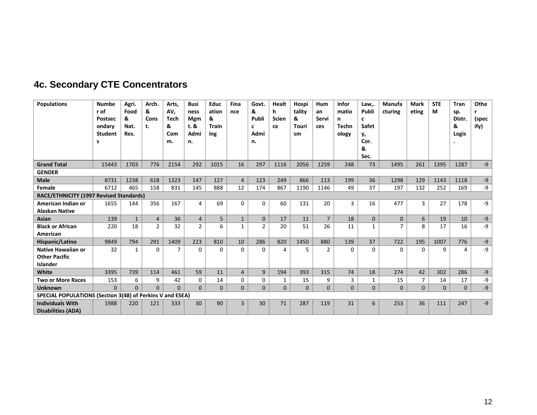<span id="page-13-0"></span>

| <b>Populations</b>                                            | <b>Numbe</b><br>r of<br><b>Postsec</b><br>ondary<br><b>Student</b><br>s | Agri.<br>Food<br>&<br>Nat.<br>Res. | Arch.<br>&<br>Cons<br>t. | Arts.<br>AV,<br><b>Tech</b><br>&<br>Com<br>m. | <b>Busi</b><br>ness<br>Mgm<br>t. &<br>Admi<br>n. | <b>Educ</b><br>ation<br>&<br><b>Train</b><br>ing | Fina<br>nce    | Govt.<br>&<br>Publi<br>C<br>Admi<br>n. | Healt<br>h<br><b>Scien</b><br>ce | Hospi<br>tality<br>&<br>Touri<br>sm | Hum<br>an<br>Servi<br>ces | <b>Infor</b><br>matio<br>n<br><b>Techn</b><br>ology | Law,.<br>Publi<br>c<br>Safet<br>у,<br>Cor.<br>&<br>Sec. | Manufa<br>cturing | <b>Mark</b><br>eting | <b>STE</b><br>М | <b>Tran</b><br>sp.<br>Distr.<br>&<br>Logis | Othe<br>r<br>(spec<br>ify) |
|---------------------------------------------------------------|-------------------------------------------------------------------------|------------------------------------|--------------------------|-----------------------------------------------|--------------------------------------------------|--------------------------------------------------|----------------|----------------------------------------|----------------------------------|-------------------------------------|---------------------------|-----------------------------------------------------|---------------------------------------------------------|-------------------|----------------------|-----------------|--------------------------------------------|----------------------------|
| <b>Grand Total</b>                                            | 15443                                                                   | 1703                               | 776                      | 2154                                          | 292                                              | 1015                                             | 16             | 297                                    | 1116                             | 2056                                | 1259                      | 248                                                 | 73                                                      | 1495              | 261                  | 1395            | 1287                                       | $-9$                       |
| <b>GENDER</b>                                                 |                                                                         |                                    |                          |                                               |                                                  |                                                  |                |                                        |                                  |                                     |                           |                                                     |                                                         |                   |                      |                 |                                            |                            |
| <b>Male</b>                                                   | 8731                                                                    | 1238                               | 618                      | 1323                                          | 147                                              | 127                                              | $\overline{4}$ | 123                                    | 249                              | 866                                 | 113                       | 199                                                 | 36                                                      | 1298              | 129                  | 1143            | 1118                                       | -9                         |
| Female                                                        | 6712                                                                    | 465                                | 158                      | 831                                           | 145                                              | 888                                              | 12             | 174                                    | 867                              | 1190                                | 1146                      | 49                                                  | 37                                                      | 197               | 132                  | 252             | 169                                        | $-9$                       |
| RACE/ETHNICITY (1997 Revised Standards)                       |                                                                         |                                    |                          |                                               |                                                  |                                                  |                |                                        |                                  |                                     |                           |                                                     |                                                         |                   |                      |                 |                                            |                            |
| American Indian or<br><b>Alaskan Native</b>                   | 1655                                                                    | 144                                | 356                      | 167                                           | 4                                                | 69                                               | $\Omega$       | 0                                      | 60                               | 131                                 | 20                        | 3                                                   | 16                                                      | 477               | $\overline{3}$       | 27              | 178                                        | -9                         |
| Asian                                                         | 139                                                                     | $\mathbf{1}$                       | $\overline{4}$           | 36                                            | 4                                                | 5                                                | $\mathbf{1}$   | $\Omega$                               | 17                               | 11                                  | $\overline{7}$            | 18                                                  | $\Omega$                                                | $\Omega$          | 6                    | 19              | 10                                         | $-9$                       |
| <b>Black or African</b><br>American                           | 220                                                                     | 18                                 | $\overline{2}$           | 32                                            | $\overline{2}$                                   | 6                                                | $\mathbf{1}$   | $\overline{2}$                         | 20                               | 51                                  | 26                        | 11                                                  | $\mathbf{1}$                                            | $\overline{7}$    | 8                    | 17              | 16                                         | $-9$                       |
| Hispanic/Latino                                               | 9849                                                                    | 794                                | 291                      | 1409                                          | 223                                              | 810                                              | 10             | 286                                    | 820                              | 1450                                | 880                       | 139                                                 | 37                                                      | 722               | 195                  | 1007            | 776                                        | $-9$                       |
| <b>Native Hawaiian or</b><br><b>Other Pacific</b><br>Islander | 32                                                                      | $\mathbf{1}$                       | $\Omega$                 | 7                                             | $\Omega$                                         | $\Omega$                                         | $\Omega$       | $\Omega$                               | 4                                | 5.                                  | $\overline{2}$            | 0                                                   | $\Omega$                                                | $\Omega$          | $\Omega$             | 9               | 4                                          | $-9$                       |
| White                                                         | 3395                                                                    | 739                                | 114                      | 461                                           | 59                                               | 11                                               | $\overline{4}$ | 9                                      | 194                              | 393                                 | 315                       | 74                                                  | 18                                                      | 274               | 42                   | 302             | 286                                        | $-9$                       |
| <b>Two or More Races</b>                                      | 153                                                                     | 6                                  | 9                        | 42                                            | $\Omega$                                         | 14                                               | 0              | 0                                      | 1                                | 15                                  | 9                         | 3                                                   | 1                                                       | 15                | $\overline{7}$       | 14              | 17                                         | $-9$                       |
| <b>Unknown</b>                                                | $\Omega$                                                                | $\Omega$                           | $\Omega$                 | $\Omega$                                      | $\Omega$                                         | $\Omega$                                         | $\Omega$       | $\Omega$                               | $\Omega$                         | $\mathbf{0}$                        | $\mathbf{0}$              | $\mathbf{0}$                                        | $\Omega$                                                | $\mathbf{0}$      | $\Omega$             | $\Omega$        | $\mathbf{0}$                               | $-9$                       |
| SPECIAL POPULATIONS (Section 3(48) of Perkins V and ESEA)     |                                                                         |                                    |                          |                                               |                                                  |                                                  |                |                                        |                                  |                                     |                           |                                                     |                                                         |                   |                      |                 |                                            |                            |
| <b>Individuals With</b><br><b>Disabilities (ADA)</b>          | 1988                                                                    | 220                                | 121                      | 333                                           | 30                                               | 90                                               | $\overline{3}$ | 30                                     | 71                               | 287                                 | 119                       | 31                                                  | 6                                                       | 253               | 36                   | 111             | 247                                        | $-9$                       |

# **4c. Secondary CTE Concentrators**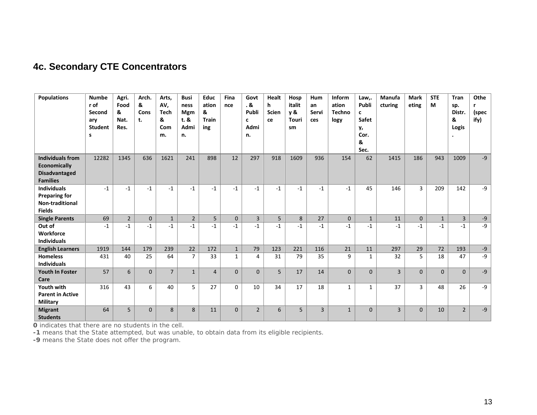## **4c. Secondary CTE Concentrators**

| <b>Populations</b>                                             | <b>Numbe</b><br>r of<br>Second<br>ary<br><b>Student</b><br>s | Agri.<br>Food<br>&<br>Nat.<br>Res. | Arch.<br>&<br>Cons<br>t. | Arts,<br>AV,<br><b>Tech</b><br>&<br>Com<br>m. | <b>Busi</b><br>ness<br><b>Mgm</b><br>t. &<br>Admi<br>n. | <b>Educ</b><br>ation<br>&<br><b>Train</b><br>ing | Fina<br>nce  | Govt<br>. &<br>Publi<br>c<br>Admi<br>n. | Healt<br>h<br><b>Scien</b><br>ce | Hosp<br>italit<br><b>v</b> &<br><b>Touri</b><br>sm | <b>Hum</b><br>an<br>Servi<br>ces | Inform<br>ation<br><b>Techno</b><br>logy | Law,.<br>Publi<br>c<br>Safet<br>у,<br>Cor.<br>&<br>Sec. | Manufa<br>cturing | <b>Mark</b><br>eting | <b>STE</b><br>M | Tran<br>sp.<br>Distr.<br>&<br>Logis | Othe<br>r<br>(spec<br>ify) |
|----------------------------------------------------------------|--------------------------------------------------------------|------------------------------------|--------------------------|-----------------------------------------------|---------------------------------------------------------|--------------------------------------------------|--------------|-----------------------------------------|----------------------------------|----------------------------------------------------|----------------------------------|------------------------------------------|---------------------------------------------------------|-------------------|----------------------|-----------------|-------------------------------------|----------------------------|
| <b>Individuals from</b>                                        | 12282                                                        | 1345                               | 636                      | 1621                                          | 241                                                     | 898                                              | 12           | 297                                     | 918                              | 1609                                               | 936                              | 154                                      | 62                                                      | 1415              | 186                  | 943             | 1009                                | $-9$                       |
| <b>Economically</b><br><b>Disadvantaged</b><br><b>Families</b> |                                                              |                                    |                          |                                               |                                                         |                                                  |              |                                         |                                  |                                                    |                                  |                                          |                                                         |                   |                      |                 |                                     |                            |
| <b>Individuals</b>                                             | $-1$                                                         | $-1$                               | $-1$                     | $-1$                                          | $-1$                                                    | $-1$                                             | $-1$         | $-1$                                    | $-1$                             | $-1$                                               | $-1$                             | $-1$                                     | 45                                                      | 146               | 3                    | 209             | 142                                 | -9                         |
| <b>Preparing for</b><br>Non-traditional<br><b>Fields</b>       |                                                              |                                    |                          |                                               |                                                         |                                                  |              |                                         |                                  |                                                    |                                  |                                          |                                                         |                   |                      |                 |                                     |                            |
| <b>Single Parents</b>                                          | 69                                                           | $\overline{2}$                     | $\overline{0}$           | $\mathbf{1}$                                  | $\overline{2}$                                          | 5                                                | $\mathbf{0}$ | $\overline{3}$                          | 5                                | 8                                                  | 27                               | $\mathbf{0}$                             | $\mathbf{1}$                                            | 11                | $\mathbf{0}$         | $\mathbf{1}$    | $\overline{3}$                      | $-9$                       |
| Out of<br>Workforce<br><b>Individuals</b>                      | $-1$                                                         | $-1$                               | $-1$                     | $-1$                                          | $-1$                                                    | $-1$                                             | $-1$         | $-1$                                    | $-1$                             | $-1$                                               | $-1$                             | $-1$                                     | $-1$                                                    | $-1$              | $-1$                 | $-1$            | $-1$                                | -9                         |
| <b>English Learners</b>                                        | 1919                                                         | 144                                | 179                      | 239                                           | 22                                                      | 172                                              | $\mathbf{1}$ | 79                                      | 123                              | 221                                                | 116                              | 21                                       | 11                                                      | 297               | 29                   | 72              | 193                                 | $-9$                       |
| <b>Homeless</b><br><b>Individuals</b>                          | 431                                                          | 40                                 | 25                       | 64                                            | $\overline{7}$                                          | 33                                               | $\mathbf{1}$ | 4                                       | 31                               | 79                                                 | 35                               | 9                                        | $\mathbf{1}$                                            | 32                | 5                    | 18              | 47                                  | -9                         |
| <b>Youth In Foster</b><br>Care                                 | 57                                                           | 6                                  | $\overline{0}$           | $\overline{7}$                                | $\mathbf{1}$                                            | $\overline{4}$                                   | $\Omega$     | $\Omega$                                | 5                                | 17                                                 | 14                               | $\Omega$                                 | $\Omega$                                                | $\overline{3}$    | $\Omega$             | $\Omega$        | $\mathbf{0}$                        | $-9$                       |
| Youth with<br><b>Parent in Active</b><br><b>Military</b>       | 316                                                          | 43                                 | 6                        | 40                                            | 5                                                       | 27                                               | $\Omega$     | 10                                      | 34                               | 17                                                 | 18                               | $\mathbf{1}$                             | $\mathbf{1}$                                            | 37                | 3                    | 48              | 26                                  | $-9$                       |
| <b>Migrant</b><br><b>Students</b>                              | 64                                                           | 5                                  | $\mathbf{0}$             | 8                                             | 8                                                       | 11                                               | $\mathbf{0}$ | $\overline{2}$                          | 6                                | 5                                                  | $\overline{3}$                   | $\mathbf{1}$                             | $\Omega$                                                | $\overline{3}$    | $\Omega$             | 10              | $\overline{2}$                      | $-9$                       |

O indicates that there are no students in the cell.

-1 means that the State attempted, but was unable, to obtain data from its eligible recipients.<br>-9 means the State does not offer the program.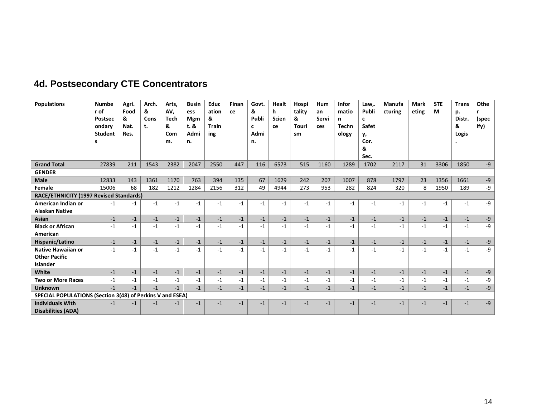<span id="page-15-0"></span>

| <b>Populations</b>                                                   | <b>Numbe</b><br>r of<br><b>Postsec</b><br>ondary<br><b>Student</b><br>s | Agri.<br>Food<br>&<br>Nat.<br>Res. | Arch.<br>&<br><b>Cons</b><br>t. | Arts,<br>AV.<br><b>Tech</b><br>&<br>Com<br>m. | <b>Busin</b><br>ess<br><b>Mgm</b><br>t.8<br>Admi<br>n. | <b>Educ</b><br>ation<br>&<br><b>Train</b><br>ing | Finan<br>ce | Govt.<br>&<br>Publi<br>c<br>Admi<br>n. | Healt<br>h<br><b>Scien</b><br>ce | Hospi<br>tality<br>&<br>Touri<br>sm | Hum<br>an<br>Servi<br>ces | <b>Infor</b><br>matio<br>n<br><b>Techn</b><br>ology | Law,.<br>Publi<br>c<br>Safet<br>у,<br>Cor.<br>&<br>Sec. | Manufa<br>cturing | <b>Mark</b><br>eting | <b>STE</b><br>M | <b>Trans</b><br>p.<br>Distr.<br>&<br>Logis | Othe<br>(spec<br>ify) |
|----------------------------------------------------------------------|-------------------------------------------------------------------------|------------------------------------|---------------------------------|-----------------------------------------------|--------------------------------------------------------|--------------------------------------------------|-------------|----------------------------------------|----------------------------------|-------------------------------------|---------------------------|-----------------------------------------------------|---------------------------------------------------------|-------------------|----------------------|-----------------|--------------------------------------------|-----------------------|
| <b>Grand Total</b>                                                   | 27839                                                                   | 211                                | 1543                            | 2382                                          | 2047                                                   | 2550                                             | 447         | 116                                    | 6573                             | 515                                 | 1160                      | 1289                                                | 1702                                                    | 2117              | 31                   | 3306            | 1850                                       | $-9$                  |
| <b>GENDER</b>                                                        |                                                                         |                                    |                                 |                                               |                                                        |                                                  |             |                                        |                                  |                                     |                           |                                                     |                                                         |                   |                      |                 |                                            |                       |
| <b>Male</b>                                                          | 12833                                                                   | 143                                | 1361                            | 1170                                          | 763                                                    | 394                                              | 135         | 67                                     | 1629                             | 242                                 | 207                       | 1007                                                | 878                                                     | 1797              | 23                   | 1356            | 1661                                       | $-9$                  |
| Female                                                               | 15006                                                                   | 68                                 | 182                             | 1212                                          | 1284                                                   | 2156                                             | 312         | 49                                     | 4944                             | 273                                 | 953                       | 282                                                 | 824                                                     | 320               | 8                    | 1950            | 189                                        | $-9$                  |
| RACE/ETHNICITY (1997 Revised Standards)                              |                                                                         |                                    |                                 |                                               |                                                        |                                                  |             |                                        |                                  |                                     |                           |                                                     |                                                         |                   |                      |                 |                                            |                       |
| American Indian or<br><b>Alaskan Native</b>                          | $-1$                                                                    | -1                                 | $-1$                            | $-1$                                          | $-1$                                                   | $-1$                                             | $-1$        | $-1$                                   | $-1$                             | $-1$                                | $-1$                      | $-1$                                                | $-1$                                                    | $-1$              | $-1$                 | $-1$            | $-1$                                       | $-9$                  |
| <b>Asian</b>                                                         | $-1$                                                                    | $-1$                               | $-1$                            | $-1$                                          | $-1$                                                   | $-1$                                             | $-1$        | $-1$                                   | $-1$                             | $-1$                                | $-1$                      | $-1$                                                | $-1$                                                    | $-1$              | $-1$                 | $-1$            | $-1$                                       | $-9$                  |
| <b>Black or African</b><br>American                                  | $-1$                                                                    | $-1$                               | $-1$                            | $-1$                                          | $-1$                                                   | $-1$                                             | $-1$        | $-1$                                   | $-1$                             | $-1$                                | $-1$                      | $-1$                                                | $-1$                                                    | $-1$              | $-1$                 | $-1$            | $-1$                                       | $-9$                  |
| Hispanic/Latino                                                      | $-1$                                                                    | $-1$                               | $-1$                            | $-1$                                          | $-1$                                                   | $-1$                                             | $-1$        | $-1$                                   | $-1$                             | $-1$                                | $-1$                      | $-1$                                                | $-1$                                                    | $-1$              | $-1$                 | $-1$            | $-1$                                       | $-9$                  |
| <b>Native Hawaiian or</b><br><b>Other Pacific</b><br><b>Islander</b> | $-1$                                                                    | $-1$                               | $-1$                            | $-1$                                          | $-1$                                                   | $-1$                                             | $-1$        | $-1$                                   | $-1$                             | $-1$                                | $-1$                      | $-1$                                                | $-1$                                                    | $-1$              | $-1$                 | $-1$            | $-1$                                       | $-9$                  |
| White                                                                | $-1$                                                                    | $-1$                               | $-1$                            | $-1$                                          | $-1$                                                   | $-1$                                             | $-1$        | $-1$                                   | $-1$                             | $-1$                                | $-1$                      | $-1$                                                | $-1$                                                    | $-1$              | $-1$                 | $-1$            | $-1$                                       | $-9$                  |
| <b>Two or More Races</b>                                             | $-1$                                                                    | $-1$                               | $-1$                            | $-1$                                          | $-1$                                                   | $-1$                                             | $-1$        | $-1$                                   | $-1$                             | $-1$                                | $-1$                      | $-1$                                                | $-1$                                                    | $-1$              | $-1$                 | $-1$            | $-1$                                       | -9                    |
| <b>Unknown</b>                                                       | $-1$                                                                    | $-1$                               | $-1$                            | $-1$                                          | $-1$                                                   | $-1$                                             | $-1$        | $-1$                                   | $-1$                             | $-1$                                | $-1$                      | $-1$                                                | $-1$                                                    | $-1$              | $-1$                 | $-1$            | $-1$                                       | $-9$                  |
| SPECIAL POPULATIONS (Section 3(48) of Perkins V and ESEA)            |                                                                         |                                    |                                 |                                               |                                                        |                                                  |             |                                        |                                  |                                     |                           |                                                     |                                                         |                   |                      |                 |                                            |                       |
| <b>Individuals With</b><br><b>Disabilities (ADA)</b>                 | $-1$                                                                    | $-1$                               | $-1$                            | -1                                            | $-1$                                                   | $-1$                                             | $-1$        | $-1$                                   | $-1$                             | $-1$                                | $-1$                      | $-1$                                                | $-1$                                                    | $-1$              | $-1$                 | $-1$            | $-1$                                       | $-9$                  |

# **4d. Postsecondary CTE Concentrators**